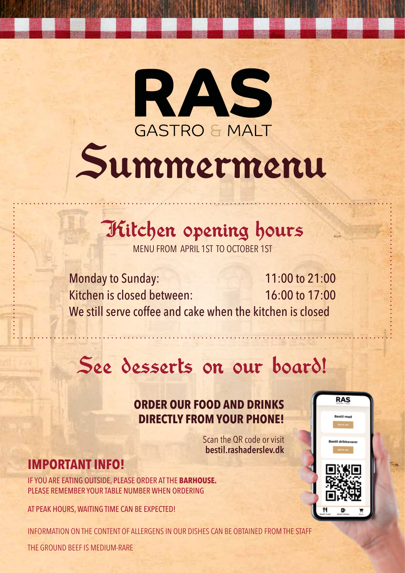# RAS **GASTRO & MALT** Summermenu

## Kitchen opening hours

MENU FROM APRIL 1ST TO OCTOBER 1ST

Monday to Sunday: 11:00 to 21:00 Kitchen is closed between: 16:00 to 17:00 We still serve coffee and cake when the kitchen is closed

## See desserts on our board!

### **ORDER OUR FOOD AND DRINKS DIRECTLY FROM YOUR PHONE!**

Scan the QR code or visit **bestil.rashaderslev.dk**

### **IMPORTANT INFO!**

IF YOU ARE EATING OUTSIDE, PLEASE ORDER AT THE **BARHOUSE.** PLEASE REMEMBER YOUR TABLE NUMBER WHEN ORDERING

AT PEAK HOURS, WAITING TIME CAN BE EXPECTED!

INFORMATION ON THE CONTENT OF ALLERGENS IN OUR DISHES CAN BE OBTAINED FROM THE STAFF



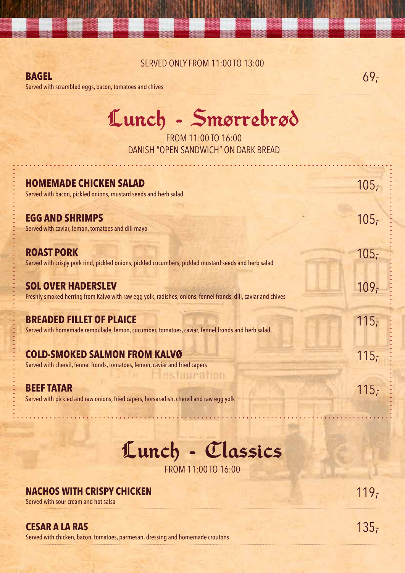#### SERVED ONLY FROM 11:00 TO 13:00

**BAGEL**

Served with scrambled eggs, bacon, tomatoes and chives

## Lunch - Smørrebrød

FROM 11:00 TO 16:00 DANISH "OPEN SANDWICH" ON DARK BREAD

| <b>HOMEMADE CHICKEN SALAD</b><br>Served with bacon, pickled onions, mustard seeds and herb salad.                                           | 105 <sub>i</sub> |
|---------------------------------------------------------------------------------------------------------------------------------------------|------------------|
| <b>EGG AND SHRIMPS</b><br>Served with caviar, lemon, tomatoes and dill mayo                                                                 | 105 <sub>r</sub> |
| <b>ROAST PORK</b><br>Served with crispy pork rind, pickled onions, pickled cucumbers, pickled mustard seeds and herb salad                  | 105 <sub>i</sub> |
| <b>SOL OVER HADERSLEV</b><br>Freshly smoked herring from Kalvø with raw egg yolk, radishes, onions, fennel fronds, dill, caviar and chives  | 109 <sub>i</sub> |
| <b>BREADED FILLET OF PLAICE</b><br>Served with homemade remoulade, lemon, cucumber, tomatoes, caviar, fennel fronds and herb salad.         | 115 <sub>i</sub> |
| <b>COLD-SMOKED SALMON FROM KALVØ</b><br>Served with chervil, fennel fronds, tomatoes, lemon, caviar and fried capers<br><b>Tesfaurafien</b> | 115 <sub>i</sub> |
| <b>BEEF TATAR</b><br>Served with pickled and raw onions, fried capers, horseradish, chervil and raw egg yolk                                | 115 <sub>i</sub> |

## Lunch - Classics

FROM 11:00 TO 16:00

### **NACHOS WITH CRISPY CHICKEN** 5erved with sour cream and hot salsa **119**<sup>7</sup>

### **CESAR A LA RAS** 235,-

Served with chicken, bacon, tomatoes, parmesan, dressing and homemade croutons

69,-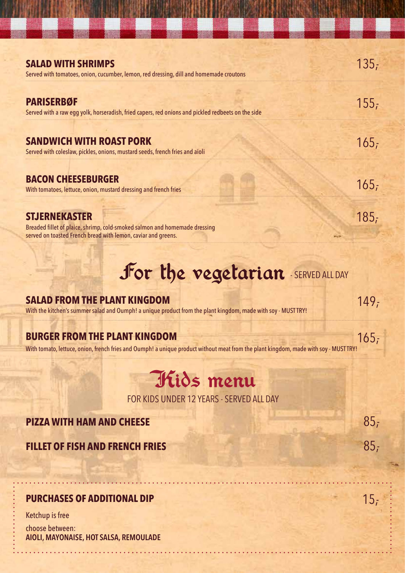| <b>SALAD WITH SHRIMPS</b><br>Served with tomatoes, onion, cucumber, lemon, red dressing, dill and homemade croutons                                                 | 135 <sub>r</sub> |
|---------------------------------------------------------------------------------------------------------------------------------------------------------------------|------------------|
| <b>PARISERBØF</b><br>Served with a raw egg yolk, horseradish, fried capers, red onions and pickled redbeets on the side                                             | 155 <sub>z</sub> |
| <b>SANDWICH WITH ROAST PORK</b><br>Served with coleslaw, pickles, onions, mustard seeds, french fries and aioli                                                     | 165 <sub>r</sub> |
| <b>BACON CHEESEBURGER</b><br>With tomatoes, lettuce, onion, mustard dressing and french fries                                                                       | 165 <sub>r</sub> |
| <b>STJERNEKASTER</b><br>Breaded fillet of plaice, shrimp, cold-smoked salmon and homemade dressing<br>served on toasted French bread with lemon, caviar and greens. | 185.             |

## For the vegetarian SERVED ALL DAY

| <b>SALAD FROM THE PLANT KINGDOM</b>                                                                           | 149. |
|---------------------------------------------------------------------------------------------------------------|------|
| With the kitchen's summer salad and Oumph! a unique product from the plant kingdom, made with soy - MUST TRY! |      |

#### **BURGER FROM THE PLANT KINGDOM** 165,

With tomato, lettuce, onion, french fries and Oumph! a unique product without meat from the plant kingdom, made with soy - MUST TRY!

### Kids menu

FOR KIDS UNDER 12 YEARS - SERVED ALL DAY

| <b>PIZZA WITH HAM AND CHEESE</b>       |  |
|----------------------------------------|--|
| <b>FILLET OF FISH AND FRENCH FRIES</b> |  |

#### **PURCHASES OF ADDITIONAL DIP**  $15<sub>r</sub>$

Ketchup is free choose between: **AIOLI, MAYONAISE, HOT SALSA, REMOULADE**